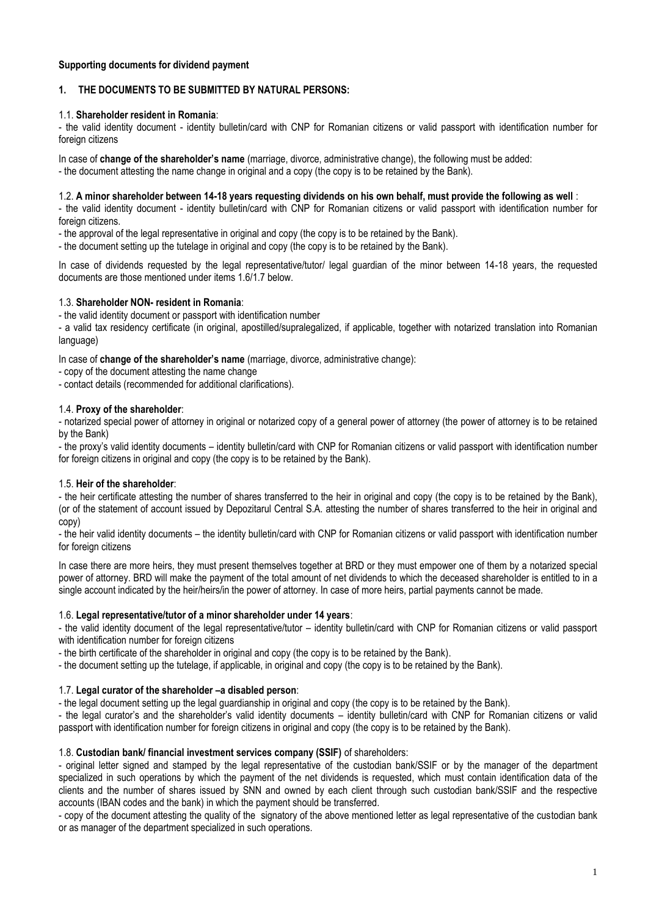## **Supporting documents for dividend payment**

# **1. THE DOCUMENTS TO BE SUBMITTED BY NATURAL PERSONS:**

### 1.1. **Shareholder resident in Romania**:

- the valid identity document - identity bulletin/card with CNP for Romanian citizens or valid passport with identification number for foreign citizens

In case of **change of the shareholder's name** (marriage, divorce, administrative change), the following must be added:

- the document attesting the name change in original and a copy (the copy is to be retained by the Bank).

## 1.2. **A minor shareholder between 14-18 years requesting dividends on his own behalf, must provide the following as well** :

- the valid identity document - identity bulletin/card with CNP for Romanian citizens or valid passport with identification number for foreign citizens.

- the approval of the legal representative in original and copy (the copy is to be retained by the Bank).

- the document setting up the tutelage in original and copy (the copy is to be retained by the Bank).

In case of dividends requested by the legal representative/tutor/ legal guardian of the minor between 14-18 years, the requested documents are those mentioned under items 1.6/1.7 below.

### 1.3. **Shareholder NON- resident in Romania**:

- the valid identity document or passport with identification number

- a valid tax residency certificate (in original, apostilled/supralegalized, if applicable, together with notarized translation into Romanian language)

In case of **change of the shareholder's name** (marriage, divorce, administrative change):

- copy of the document attesting the name change

- contact details (recommended for additional clarifications).

### 1.4. **Proxy of the shareholder**:

- notarized special power of attorney in original or notarized copy of a general power of attorney (the power of attorney is to be retained by the Bank)

- the proxy's valid identity documents – identity bulletin/card with CNP for Romanian citizens or valid passport with identification number for foreign citizens in original and copy (the copy is to be retained by the Bank).

### 1.5. **Heir of the shareholder**:

- the heir certificate attesting the number of shares transferred to the heir in original and copy (the copy is to be retained by the Bank), (or of the statement of account issued by Depozitarul Central S.A. attesting the number of shares transferred to the heir in original and copy)

- the heir valid identity documents – the identity bulletin/card with CNP for Romanian citizens or valid passport with identification number for foreign citizens

In case there are more heirs, they must present themselves together at BRD or they must empower one of them by a notarized special power of attorney. BRD will make the payment of the total amount of net dividends to which the deceased shareholder is entitled to in a single account indicated by the heir/heirs/in the power of attorney. In case of more heirs, partial payments cannot be made.

### 1.6. **Legal representative/tutor of a minor shareholder under 14 years**:

- the valid identity document of the legal representative/tutor – identity bulletin/card with CNP for Romanian citizens or valid passport with identification number for foreign citizens

- the birth certificate of the shareholder in original and copy (the copy is to be retained by the Bank).

- the document setting up the tutelage, if applicable, in original and copy (the copy is to be retained by the Bank).

### 1.7. **Legal curator of the shareholder –a disabled person**:

- the legal document setting up the legal guardianship in original and copy (the copy is to be retained by the Bank).

- the legal curator's and the shareholder's valid identity documents – identity bulletin/card with CNP for Romanian citizens or valid passport with identification number for foreign citizens in original and copy (the copy is to be retained by the Bank).

### 1.8. **Custodian bank/ financial investment services company (SSIF)** of shareholders:

- original letter signed and stamped by the legal representative of the custodian bank/SSIF or by the manager of the department specialized in such operations by which the payment of the net dividends is requested, which must contain identification data of the clients and the number of shares issued by SNN and owned by each client through such custodian bank/SSIF and the respective accounts (IBAN codes and the bank) in which the payment should be transferred.

- copy of the document attesting the quality of the signatory of the above mentioned letter as legal representative of the custodian bank or as manager of the department specialized in such operations.